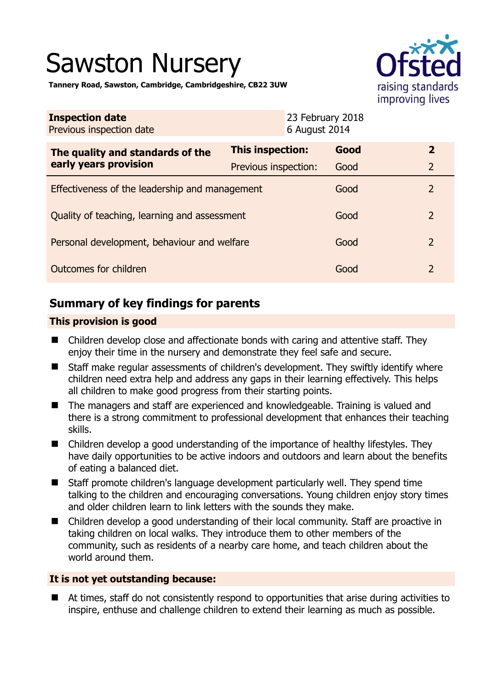# Sawston Nursery



**Tannery Road, Sawston, Cambridge, Cambridgeshire, CB22 3UW** 

| <b>Inspection date</b><br>Previous inspection date        | 23 February 2018<br>6 August 2014 |      |                |
|-----------------------------------------------------------|-----------------------------------|------|----------------|
| The quality and standards of the<br>early years provision | <b>This inspection:</b>           | Good | $\overline{2}$ |
|                                                           | Previous inspection:              | Good | $\overline{2}$ |
| Effectiveness of the leadership and management            |                                   | Good | $\overline{2}$ |
| Quality of teaching, learning and assessment              |                                   | Good | $\overline{2}$ |
| Personal development, behaviour and welfare               |                                   | Good | $\overline{2}$ |
| Outcomes for children                                     |                                   | Good | $\overline{2}$ |

# **Summary of key findings for parents**

## **This provision is good**

- Children develop close and affectionate bonds with caring and attentive staff. They enjoy their time in the nursery and demonstrate they feel safe and secure.
- Staff make regular assessments of children's development. They swiftly identify where children need extra help and address any gaps in their learning effectively. This helps all children to make good progress from their starting points.
- The managers and staff are experienced and knowledgeable. Training is valued and there is a strong commitment to professional development that enhances their teaching skills.
- Children develop a good understanding of the importance of healthy lifestyles. They have daily opportunities to be active indoors and outdoors and learn about the benefits of eating a balanced diet.
- Staff promote children's language development particularly well. They spend time talking to the children and encouraging conversations. Young children enjoy story times and older children learn to link letters with the sounds they make.
- Children develop a good understanding of their local community. Staff are proactive in taking children on local walks. They introduce them to other members of the community, such as residents of a nearby care home, and teach children about the world around them.

## **It is not yet outstanding because:**

 At times, staff do not consistently respond to opportunities that arise during activities to inspire, enthuse and challenge children to extend their learning as much as possible.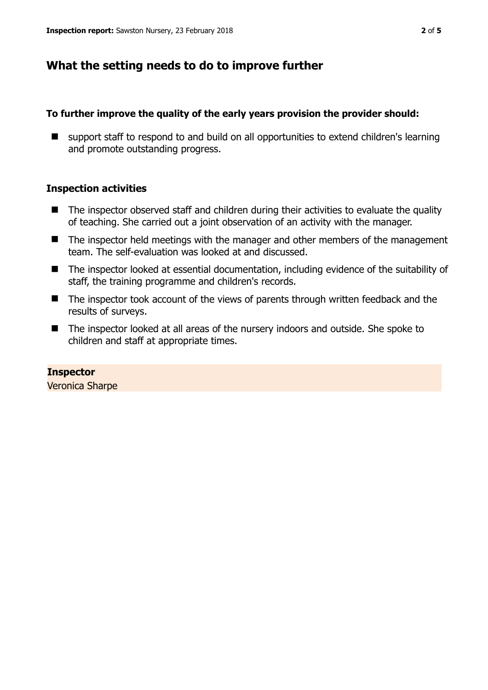# **What the setting needs to do to improve further**

## **To further improve the quality of the early years provision the provider should:**

■ support staff to respond to and build on all opportunities to extend children's learning and promote outstanding progress.

## **Inspection activities**

- $\blacksquare$  The inspector observed staff and children during their activities to evaluate the quality of teaching. She carried out a joint observation of an activity with the manager.
- The inspector held meetings with the manager and other members of the management team. The self-evaluation was looked at and discussed.
- The inspector looked at essential documentation, including evidence of the suitability of staff, the training programme and children's records.
- The inspector took account of the views of parents through written feedback and the results of surveys.
- The inspector looked at all areas of the nursery indoors and outside. She spoke to children and staff at appropriate times.

**Inspector**  Veronica Sharpe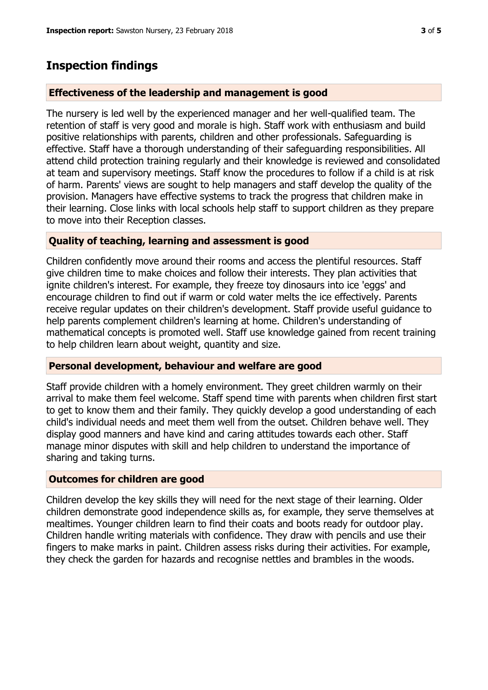## **Inspection findings**

#### **Effectiveness of the leadership and management is good**

The nursery is led well by the experienced manager and her well-qualified team. The retention of staff is very good and morale is high. Staff work with enthusiasm and build positive relationships with parents, children and other professionals. Safeguarding is effective. Staff have a thorough understanding of their safeguarding responsibilities. All attend child protection training regularly and their knowledge is reviewed and consolidated at team and supervisory meetings. Staff know the procedures to follow if a child is at risk of harm. Parents' views are sought to help managers and staff develop the quality of the provision. Managers have effective systems to track the progress that children make in their learning. Close links with local schools help staff to support children as they prepare to move into their Reception classes.

#### **Quality of teaching, learning and assessment is good**

Children confidently move around their rooms and access the plentiful resources. Staff give children time to make choices and follow their interests. They plan activities that ignite children's interest. For example, they freeze toy dinosaurs into ice 'eggs' and encourage children to find out if warm or cold water melts the ice effectively. Parents receive regular updates on their children's development. Staff provide useful guidance to help parents complement children's learning at home. Children's understanding of mathematical concepts is promoted well. Staff use knowledge gained from recent training to help children learn about weight, quantity and size.

#### **Personal development, behaviour and welfare are good**

Staff provide children with a homely environment. They greet children warmly on their arrival to make them feel welcome. Staff spend time with parents when children first start to get to know them and their family. They quickly develop a good understanding of each child's individual needs and meet them well from the outset. Children behave well. They display good manners and have kind and caring attitudes towards each other. Staff manage minor disputes with skill and help children to understand the importance of sharing and taking turns.

#### **Outcomes for children are good**

Children develop the key skills they will need for the next stage of their learning. Older children demonstrate good independence skills as, for example, they serve themselves at mealtimes. Younger children learn to find their coats and boots ready for outdoor play. Children handle writing materials with confidence. They draw with pencils and use their fingers to make marks in paint. Children assess risks during their activities. For example, they check the garden for hazards and recognise nettles and brambles in the woods.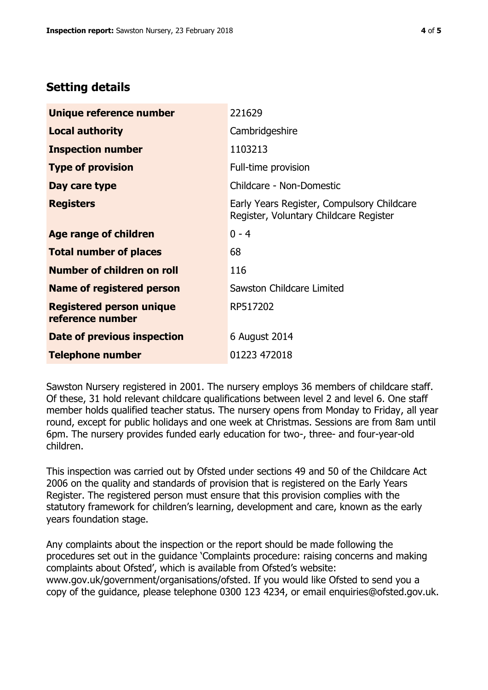# **Setting details**

| Unique reference number                             | 221629                                                                               |  |
|-----------------------------------------------------|--------------------------------------------------------------------------------------|--|
| <b>Local authority</b>                              | Cambridgeshire                                                                       |  |
| <b>Inspection number</b>                            | 1103213                                                                              |  |
| <b>Type of provision</b>                            | Full-time provision                                                                  |  |
| Day care type                                       | Childcare - Non-Domestic                                                             |  |
| <b>Registers</b>                                    | Early Years Register, Compulsory Childcare<br>Register, Voluntary Childcare Register |  |
| Age range of children                               | $0 - 4$                                                                              |  |
| <b>Total number of places</b>                       | 68                                                                                   |  |
| Number of children on roll                          | 116                                                                                  |  |
| Name of registered person                           | Sawston Childcare Limited                                                            |  |
| <b>Registered person unique</b><br>reference number | RP517202                                                                             |  |
| <b>Date of previous inspection</b>                  | 6 August 2014                                                                        |  |
| <b>Telephone number</b>                             | 01223 472018                                                                         |  |

Sawston Nursery registered in 2001. The nursery employs 36 members of childcare staff. Of these, 31 hold relevant childcare qualifications between level 2 and level 6. One staff member holds qualified teacher status. The nursery opens from Monday to Friday, all year round, except for public holidays and one week at Christmas. Sessions are from 8am until 6pm. The nursery provides funded early education for two-, three- and four-year-old children.

This inspection was carried out by Ofsted under sections 49 and 50 of the Childcare Act 2006 on the quality and standards of provision that is registered on the Early Years Register. The registered person must ensure that this provision complies with the statutory framework for children's learning, development and care, known as the early years foundation stage.

Any complaints about the inspection or the report should be made following the procedures set out in the guidance 'Complaints procedure: raising concerns and making complaints about Ofsted', which is available from Ofsted's website: www.gov.uk/government/organisations/ofsted. If you would like Ofsted to send you a copy of the guidance, please telephone 0300 123 4234, or email enquiries@ofsted.gov.uk.